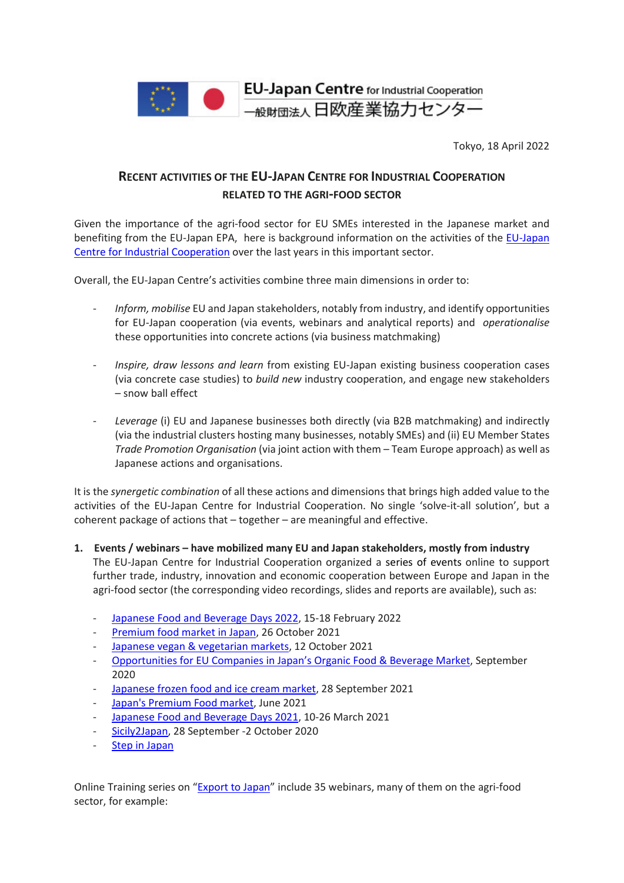

Tokyo, 18 April 2022

# **RECENT ACTIVITIES OF THE EU-JAPAN CENTRE FOR INDUSTRIAL COOPERATION RELATED TO THE AGRI-FOOD SECTOR**

Given the importance of the agri-food sector for EU SMEs interested in the Japanese market and benefiting from the EU-Japan EPA, here is background information on the activities of the [EU-Japan](https://www.eu-japan.eu/)  [Centre for Industrial Cooperation](https://www.eu-japan.eu/) over the last years in this important sector.

Overall, the EU-Japan Centre's activities combine three main dimensions in order to:

- *Inform, mobilise* EU and Japan stakeholders, notably from industry, and identify opportunities for EU-Japan cooperation (via events, webinars and analytical reports) and *operationalise* these opportunities into concrete actions (via business matchmaking)
- *Inspire, draw lessons and learn* from existing EU-Japan existing business cooperation cases (via concrete case studies) to *build new* industry cooperation, and engage new stakeholders – snow ball effect
- *Leverage* (i) EU and Japanese businesses both directly (via B2B matchmaking) and indirectly (via the industrial clusters hosting many businesses, notably SMEs) and (ii) EU Member States *Trade Promotion Organisation* (via joint action with them – Team Europe approach) as well as Japanese actions and organisations.

It is the *synergetic combination* of all these actions and dimensions that brings high added value to the activities of the EU-Japan Centre for Industrial Cooperation. No single 'solve-it-all solution', but a coherent package of actions that – together – are meaningful and effective.

- **1. Events / webinars have mobilized many EU and Japan stakeholders, mostly from industry** The EU-Japan Centre for Industrial Cooperation organized a series of events online to support further trade, industry, innovation and economic cooperation between Europe and Japan in the agri-food sector (the corresponding video recordings, slides and reports are available), such as:
	- Japanese Food and [Beverage](https://www.eu-japan.eu/events/japanese-food-and-beverage-days-2022) Days 2022, 15-18 February 2022
	- [Premium](https://www.eu-japan.eu/events/webinar-182-japans-premium-food-market) food market in Japan, 26 October 2021
	- Japanese [vegan & vegetarian](https://www.eu-japan.eu/events/webinar-181-vegetarian-and-vegan-markets-japan) markets, 12 October 2021
	- Opportunities for EU Companies in Japan's Organic [Food & Beverage](https://www.eu-japan.eu/publications/report-opportunities-eu-companies-japans-organic-food-beverage-market) Market, September 2020
	- [Japanese](https://www.eu-japan.eu/events/webinar-180-frozen-food-market-japan-incl-ice-cream) frozen food and ice cream market, 28 September 2021
	- Japan's [Premium](https://www.eu-japan.eu/publications/report-japans-premium-food-market) Food market, June 2021
	- Japanese Food and [Beverage](https://japanese-food-and-beverage-days.b2match.io/) Days 2021, 10-26 March 2021
	- [Sicily2Japan,](https://sicily2japan.b2match.io/) 28 September -2 October 2020
	- Step in [Japan](http://www.smartimport.it/)

Online Training series on ["Export](https://www.eu-japan.eu/tags/export-japan?page=0) to Japan" include 35 webinars, many of them on the agri-food sector, for example: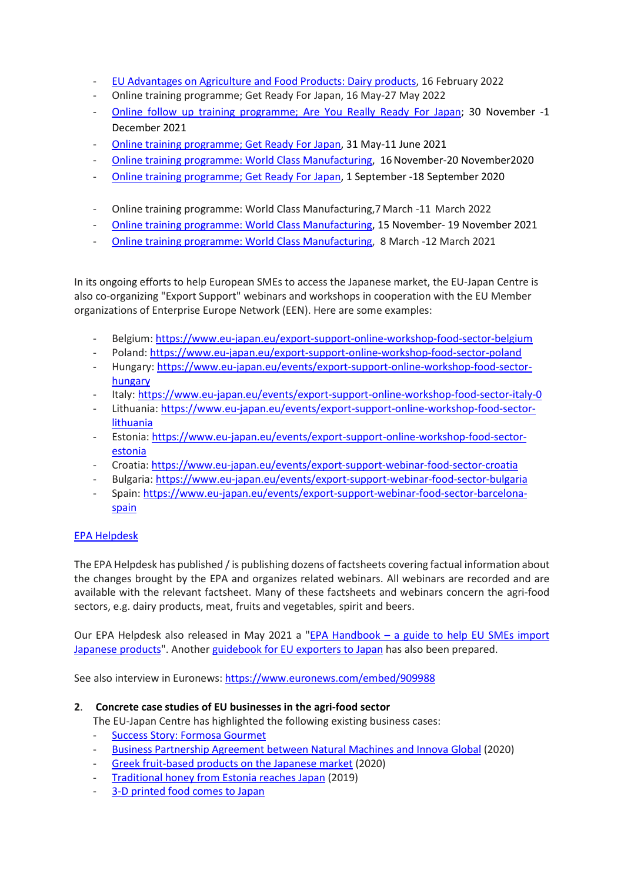- EU [Advantages](https://www.eu-japan.eu/events/export-japan-35-eu-advantages-agriculture-and-food-products-dairy-products) on Agriculture and Food Products: Dairy products, 16 February 2022
- Online training programme; Get Ready For Japan, 16 May-27 May 2022
- Online follow up training [programme;](https://www.facebook.com/%E4%B8%80%E8%88%AC%E8%B2%A1%E5%9B%A3%E6%B3%95%E4%BA%BA-%E6%97%A5%E6%AC%A7%E7%94%A3%E6%A5%AD%E5%8D%94%E5%8A%9B%E3%82%BB%E3%83%B3%E3%82%BF%E3%83%BC-EU-Japan-Centre-for-Industrial-Cooperation-101392801287246) Are You Really Ready For Japan; 30 November -1 December 2021
- Online training [programme;](https://www.eu-japan.eu/sites/default/files/publications/docs/march21.pdf) Get Ready For Japan, 31 May-11 June 2021
- Online training programme: World Class [Manufacturing,](https://www.eu-japan.eu/sites/default/files/publications/docs/march21.pdf) 16 November-20 November2020
- Online training [programme;](https://www.eu-japan.eu/sites/default/files/publications/docs/october20.pdf) Get Ready For Japan, 1 September -18 September 2020
- Online training programme: World Class Manufacturing,7 March -11 March 2022
- Online training programme: World Class [Manufacturing,](https://www.eu-japan.eu/december-2021-newsletter-4-vol-19) 15 November- 19 November 2021
- Online training programme: World Class [Manufacturing,](https://www.eu-japan.eu/sites/default/files/publications/docs/june21.pdf) 8 March -12 March 2021

In its ongoing efforts to help European SMEs to access the Japanese market, the EU-Japan Centre is also co-organizing "Export Support" webinars and workshops in cooperation with the EU Member organizations of Enterprise Europe Network (EEN). Here are some examples:

- Belgium: <https://www.eu-japan.eu/export-support-online-workshop-food-sector-belgium>
- Poland: <https://www.eu-japan.eu/export-support-online-workshop-food-sector-poland>
- Hungary: [https://www.eu-japan.eu/events/export-support-online-workshop-food-sector](https://www.eu-japan.eu/events/export-support-online-workshop-food-sector-hungary)[hungary](https://www.eu-japan.eu/events/export-support-online-workshop-food-sector-hungary)
- Italy: <https://www.eu-japan.eu/events/export-support-online-workshop-food-sector-italy-0>
- Lithuania: [https://www.eu-japan.eu/events/export-support-online-workshop-food-sector](https://www.eu-japan.eu/events/export-support-online-workshop-food-sector-lithuania)[lithuania](https://www.eu-japan.eu/events/export-support-online-workshop-food-sector-lithuania)
- Estonia: [https://www.eu-japan.eu/events/export-support-online-workshop-food-sector](https://www.eu-japan.eu/events/export-support-online-workshop-food-sector-estonia)[estonia](https://www.eu-japan.eu/events/export-support-online-workshop-food-sector-estonia)
- Croatia: <https://www.eu-japan.eu/events/export-support-webinar-food-sector-croatia>
- Bulgaria: <https://www.eu-japan.eu/events/export-support-webinar-food-sector-bulgaria>
- Spain: [https://www.eu-japan.eu/events/export-support-webinar-food-sector-barcelona](https://www.eu-japan.eu/events/export-support-webinar-food-sector-barcelona-spain)[spain](https://www.eu-japan.eu/events/export-support-webinar-food-sector-barcelona-spain)

## EPA [Helpdesk](https://www.eu-japan.eu/epa-helpdesk)

The EPA Helpdesk has published / is publishing dozens of factsheets covering factual information about the changes brought by the EPA and organizes related webinars. All webinars are recorded and are available with the relevant factsheet. Many of these factsheets and webinars concern the agri-food sectors, e.g. dairy products, meat, fruits and vegetables, spirit and beers.

Our EPA Helpdesk also released in May 2021 a "EPA [Handbook – a guide](https://www.eu-japan.eu/publications/epa-handbook-guide-help-eu-smes-import-japanese-products) to help EU SMEs import Japanese [products"](https://www.eu-japan.eu/publications/epa-handbook-guide-help-eu-smes-import-japanese-products). Another [guidebook](https://www.eu-japan.eu/publications/epa-export-handbook-guide-help-eu-smes-export-japan) for EU exporters to Japan has also been prepared.

See also interview in Euronews: <https://www.euronews.com/embed/909988>

### **2**. **Concrete case studies of EU businesses in the agri-food sector**

The EU-Japan Centre has highlighted the following existing business cases:

- [Success Story: Formosa Gourmet](https://www.eu-japan.eu/publications/success-story-formosa-gourmet-sme)
- [Business Partnership Agreement between Natural Machines and Innova Global](https://www.eu-japan.eu/sites/default/files/publications/docs/Success%20Stories%20and%20Statistics%20EEN%20JAPAN.pdf) (2020)
- [Greek fruit-based products on the Japanese market](https://www.eu-japan.eu/sites/default/files/publications/docs/Success%20Stories%20and%20Statistics%20EEN%20JAPAN.pdf) (2020)
- [Traditional honey from Estonia reaches Japan](https://www.eu-japan.eu/sites/default/files/publications/docs/Success%20Stories%20and%20Statistics%20EEN%20JAPAN.pdf) (2019)
- [3-D printed food comes to Japan](http://www.eu-jp-tthelpdesk.eu/wp-content/uploads/2020/09/SME-Corner-August-2020.pdf)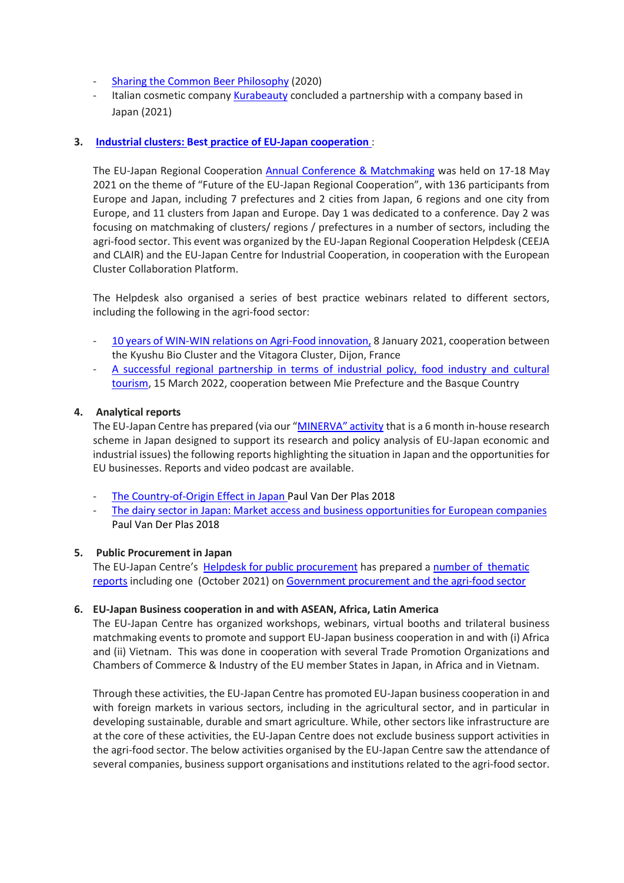- [Sharing the Common Beer Philosophy](https://www.eu-japan.eu/sites/default/files/publications/docs/Success%20Stories%20and%20Statistics%20EEN%20JAPAN.pdf) (2020)
- Italian cosmetic company [Kurabeauty](https://www.kurabeauty.com/) concluded a partnership with a company based in Japan (2021)

### **3. Industrial clusters: Best practice of EU-Japan [cooperation](https://www.ejrc-helpdesk.eu/best-practices5de790d2)** :

The EU-Japan Regional Cooperation [Annual Conference & Matchmaking](https://www.ejrc-helpdesk.eu/best-practices5de790d2) was held on 17-18 May 2021 on the theme of "Future of the EU-Japan Regional Cooperation", with 136 participants from Europe and Japan, including 7 prefectures and 2 cities from Japan, 6 regions and one city from Europe, and 11 clusters from Japan and Europe. Day 1 was dedicated to a conference. Day 2 was focusing on matchmaking of clusters/ regions / prefectures in a number of sectors, including the agri-food sector. This event was organized by the EU-Japan Regional Cooperation Helpdesk (CEEJA and CLAIR) and the EU-Japan Centre for Industrial Cooperation, in cooperation with the European Cluster Collaboration Platform.

The Helpdesk also organised a series of best practice webinars related to different sectors, including the following in the agri-food sector:

- [10 years of WIN-WIN relations on Agri-Food innovation,](https://drive.google.com/file/d/1WUdf1U8EnHVvyrIvKkWlbfxT0RbwBE2a/view) 8 January 2021, cooperation between the Kyushu Bio Cluster and the Vitagora Cluster, Dijon, France
- A successful regional partnership in terms of industrial policy, food industry and cultural [tourism,](https://drive.google.com/file/d/1Ypuh3RJr4UWWC5hgg9RNmds3YEYP6dIw/view?usp=sharing) 15 March 2022, cooperation between Mie Prefecture and the Basque Country

### **4. Analytical reports**

The EU-Japan Centre has prepared (via our ["MINERVA"](https://www.eu-japan.eu/minerva_programme) activity that is a 6 month in-house research scheme in Japan designed to support its research and policy analysis of EU-Japan economic and industrial issues) the following reports highlighting the situation in Japan and the opportunities for EU businesses. Reports and video podcast are available.

- [The Country-of-Origin Effect in Japan P](https://www.eu-japan.eu/publications/country-origin-effect-japan-minerva-fellowship)aul Van Der Plas 2018
- [The dairy sector in Japan: Market access and business opportunities for European companies](https://www.eu-japan.eu/publications/dairy-japan) Paul Van Der Plas 2018

### **5. Public Procurement in Japan**

The EU-Japan Centre's Helpdesk for public [procurement](https://www.eu-japan.eu/japan-tax-public-procurement-helpdesk#:%7E:text=The%20JTPP%20Helpdesk%20aims%20to,might%20impede%20your%20business%20activities.) has prepared a number [of thematic](https://www.eu-japan.eu/government-procurement-thematic-reports) [reports](https://www.eu-japan.eu/government-procurement-thematic-reports) including one (October 2021) on Government [procurement](https://www.eu-japan.eu/government-procurement-agri-food-sector) and the agri-food sector

### **6. EU-Japan Business cooperation in and with ASEAN, Africa, Latin America**

The EU-Japan Centre has organized workshops, webinars, virtual booths and trilateral business matchmaking events to promote and support EU-Japan business cooperation in and with (i) Africa and (ii) Vietnam. This was done in cooperation with several Trade Promotion Organizations and Chambers of Commerce & Industry of the EU member States in Japan, in Africa and in Vietnam.

Through these activities, the EU-Japan Centre has promoted EU-Japan business cooperation in and with foreign markets in various sectors, including in the agricultural sector, and in particular in developing sustainable, durable and smart agriculture. While, other sectors like infrastructure are at the core of these activities, the EU-Japan Centre does not exclude business support activities in the agri-food sector. The below activities organised by the EU-Japan Centre saw the attendance of several companies, business support organisations and institutions related to the agri-food sector.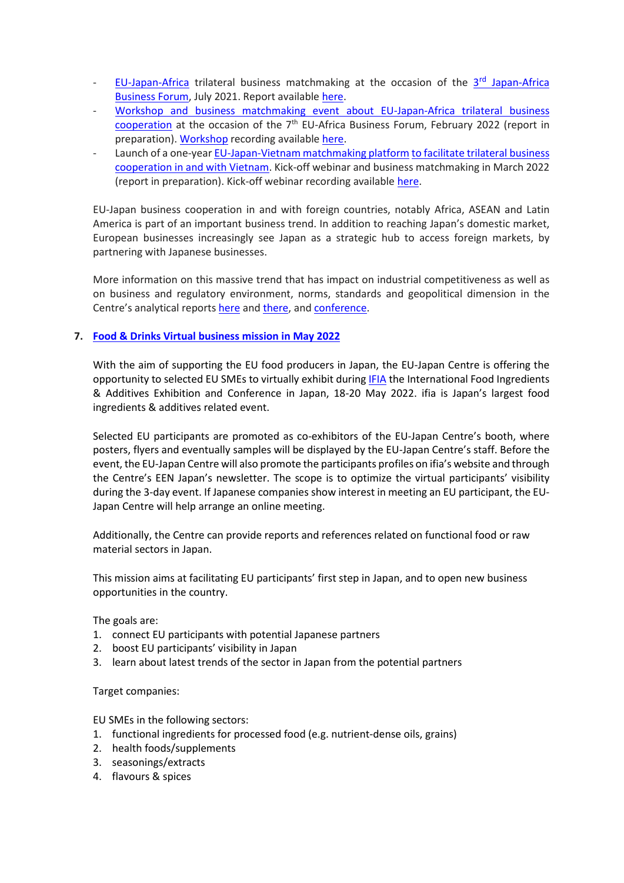- EU-[Japan-Africa](https://www.jabf2021.com/en/index.html) trilateral business matchmaking at the occasion of the 3<sup>rd</sup> Japan-Africa [Business Forum,](https://www.jabf2021.com/en/index.html) July 2021. Report available [here.](https://www.eu-japan.eu/sites/default/files/imce/reports/een/jabf-2021.pdf)
- Workshop and business [matchmaking](https://eu-japan-africa-2022.b2match.io/) event about EU-Japan-Africa trilateral business cooperation at the occasion of the  $7<sup>th</sup>$  EU-Africa Business Forum, February 2022 (report in preparation). Workshop recording available [here.](https://www.eu-japan.eu/publications/eabf-2022-workshop-eu-japan-business-cooperation-and-africa-video)
- Launch of a one-year [EU-Japan-Vietnam](https://eu-japan-vietnam-2022.b2match.io/) matchmaking platform to facilitate trilateral business cooperation in and with Vietnam. Kick-off webinar and business matchmaking in March 2022 (report in preparation). Kick-off webinar recording available [here.](https://www.eu-japan.eu/videos/webinar-EU-Japan-Business-Matchmaking-Vietnam-070322.mp4)

EU-Japan business cooperation in and with foreign countries, notably Africa, ASEAN and Latin America is part of an important business trend. In addition to reaching Japan's domestic market, European businesses increasingly see Japan as a strategic hub to access foreign markets, by partnering with Japanese businesses.

More information on this massive trend that has impact on industrial competitiveness as well as on business and regulatory environment, norms, standards and geopolitical dimension in the Centre's analytical reports [here](https://www.eu-japan.eu/publications/eu-japan-business-cooperation-third-markets-focus-digital-economy) and [there,](https://www.eu-japan.eu/publications/analysis-eu-japan-business-cooperation-third-countries) and [conference.](https://www.eu-japan.eu/events/eu-japan-business-collaborations-third-markets)

## **7. [Food & Drinks](https://www.eu-japan.eu/events/food-drinks-virtual-mission-may-2022) Virtual business mission in May 2022**

With the aim of supporting the EU food producers in Japan, the EU-Japan Centre is offering the opportunity to selected EU SMEs to virtually exhibit during [IFIA](https://www.ifiajapan.com/en) the International Food Ingredients & Additives Exhibition and Conference in Japan, 18-20 May 2022. ifia is Japan's largest food ingredients & additives related event.

Selected EU participants are promoted as co-exhibitors of the EU-Japan Centre's booth, where posters, flyers and eventually samples will be displayed by the EU-Japan Centre's staff. Before the event, the EU-Japan Centre will also promote the participants profiles on ifia's website and through the Centre's EEN Japan's newsletter. The scope is to optimize the virtual participants' visibility during the 3-day event. If Japanese companies show interest in meeting an EU participant, the EU-Japan Centre will help arrange an online meeting.

Additionally, the Centre can provide reports and references related on functional food or raw material sectors in Japan.

This mission aims at facilitating EU participants' first step in Japan, and to open new business opportunities in the country.

The goals are:

- 1. connect EU participants with potential Japanese partners
- 2. boost EU participants' visibility in Japan
- 3. learn about latest trends of the sector in Japan from the potential partners

Target companies:

EU SMEs in the following sectors:

- 1. functional ingredients for processed food (e.g. nutrient-dense oils, grains)
- 2. health foods/supplements
- 3. seasonings/extracts
- 4. flavours & spices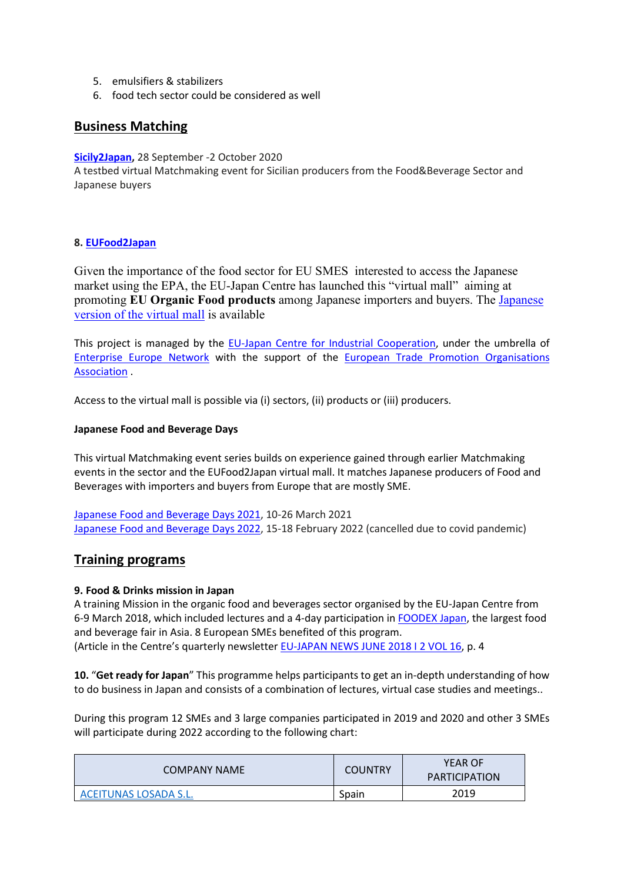- 5. emulsifiers & stabilizers
- 6. food tech sector could be considered as well

## **Business Matching**

**[Sicily2Japan,](https://sicily2japan.b2match.io/)** 28 September -2 October 2020

A testbed virtual Matchmaking event for Sicilian producers from the Food&Beverage Sector and Japanese buyers

### **8. [EUFood2Japan](https://www.eufood2japan.eu/en)**

Given the importance of the food sector for EU SMES interested to access the Japanese market using the EPA, the EU-Japan Centre has launched this "virtual mall" aiming at promoting **EU Organic Food products** among Japanese importers and buyers. The [Japanese](https://www.eufood2japan.eu/ja)  [version of the virtual mall](https://www.eufood2japan.eu/ja) is available

This project is managed by the [EU-Japan Centre for Industrial Cooperation,](https://www.eu-japan.eu/) under the umbrella of [Enterprise Europe Network](https://een.ec.europa.eu/) with the support of the [European Trade Promotion Organisations](https://etpoa.eu/)  [Association](https://etpoa.eu/) .

Access to the virtual mall is possible via (i) sectors, (ii) products or (iii) producers.

#### **Japanese Food and Beverage Days**

This virtual Matchmaking event series builds on experience gained through earlier Matchmaking events in the sector and the EUFood2Japan virtual mall. It matches Japanese producers of Food and Beverages with importers and buyers from Europe that are mostly SME.

Japanese Food and [Beverage](https://japanese-food-and-beverage-days.b2match.io/) Days 2021, 10-26 March 2021 Japanese Food and [Beverage](https://www.eu-japan.eu/events/japanese-food-and-beverage-days-2022) Days 2022, 15-18 February 2022 (cancelled due to covid pandemic)

## **Training programs**

### **9. Food & Drinks mission in Japan**

A training Mission in the organic food and beverages sector organised by the EU-Japan Centre from 6-9 March 2018, which included lectures and a 4-day participation in [FOODEX Japan,](https://www.jma.or.jp/foodex/en/) the largest food and beverage fair in Asia. 8 European SMEs benefited of this program. (Article in the Centre's quarterly newsletter [EU-JAPAN NEWS JUNE 2018 I 2 VOL 16,](https://www.eu-japan.eu/sites/default/files/publications/docs/june18.pdf) p. 4

**10.** "**Get ready for Japan**" This programme helps participants to get an in-depth understanding of how to do business in Japan and consists of a combination of lectures, virtual case studies and meetings..

During this program 12 SMEs and 3 large companies participated in 2019 and 2020 and other 3 SMEs will participate during 2022 according to the following chart:

| <b>COMPANY NAME</b>   | <b>COUNTRY</b> | <b>YEAR OF</b><br><b>PARTICIPATION</b> |
|-----------------------|----------------|----------------------------------------|
| ACEITUNAS LOSADA S.L. | Spain          | 2019                                   |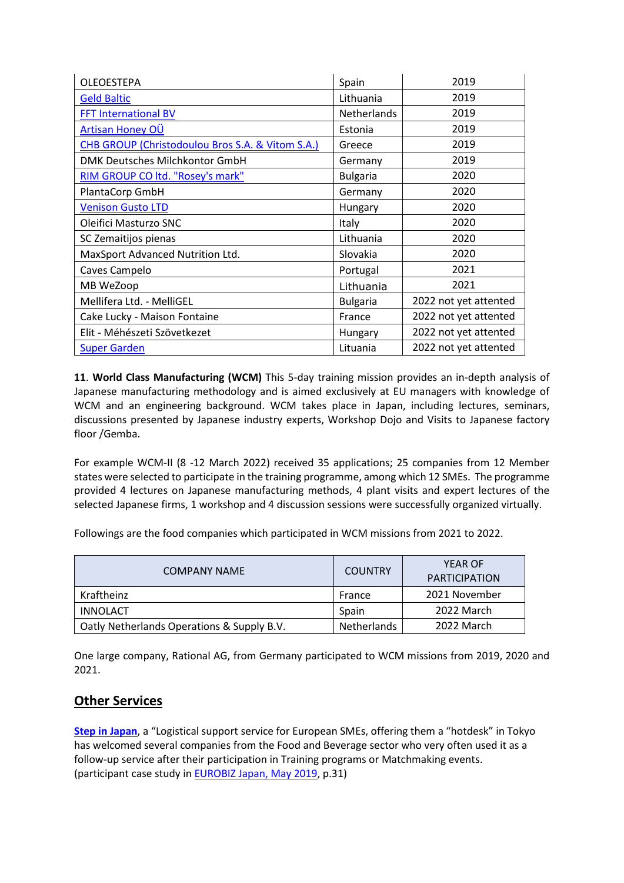| <b>OLEOESTEPA</b>                                | Spain              | 2019                  |
|--------------------------------------------------|--------------------|-----------------------|
| <b>Geld Baltic</b>                               | Lithuania          | 2019                  |
| <b>FFT International BV</b>                      | <b>Netherlands</b> | 2019                  |
| Artisan Honey OÜ                                 | Estonia            | 2019                  |
| CHB GROUP (Christodoulou Bros S.A. & Vitom S.A.) | Greece             | 2019                  |
| DMK Deutsches Milchkontor GmbH                   | Germany            | 2019                  |
| RIM GROUP CO ltd. "Rosey's mark"                 | <b>Bulgaria</b>    | 2020                  |
| PlantaCorp GmbH                                  | Germany            | 2020                  |
| <b>Venison Gusto LTD</b>                         | Hungary            | 2020                  |
| Oleifici Masturzo SNC                            | Italy              | 2020                  |
| SC Zemaitijos pienas                             | Lithuania          | 2020                  |
| MaxSport Advanced Nutrition Ltd.                 | Slovakia           | 2020                  |
| Caves Campelo                                    | Portugal           | 2021                  |
| MB WeZoop                                        | Lithuania          | 2021                  |
| Mellifera Ltd. - MelliGEL                        | <b>Bulgaria</b>    | 2022 not yet attented |
| Cake Lucky - Maison Fontaine                     | France             | 2022 not yet attented |
| Elit - Méhészeti Szövetkezet                     | Hungary            | 2022 not yet attented |
| <b>Super Garden</b>                              | Lituania           | 2022 not yet attented |

**11**. **World Class Manufacturing (WCM)** This 5-day training mission provides an in-depth analysis of Japanese manufacturing methodology and is aimed exclusively at EU managers with knowledge of WCM and an engineering background. WCM takes place in Japan, including lectures, seminars, discussions presented by Japanese industry experts, Workshop Dojo and Visits to Japanese factory floor /Gemba.

For example WCM-II (8 -12 March 2022) received 35 applications; 25 companies from 12 Member states were selected to participate in the training programme, among which 12 SMEs. The programme provided 4 lectures on Japanese manufacturing methods, 4 plant visits and expert lectures of the selected Japanese firms, 1 workshop and 4 discussion sessions were successfully organized virtually.

Followings are the food companies which participated in WCM missions from 2021 to 2022.

| <b>COMPANY NAME</b>                        | <b>COUNTRY</b>     | <b>YEAR OF</b><br><b>PARTICIPATION</b> |
|--------------------------------------------|--------------------|----------------------------------------|
| Kraftheinz                                 | France             | 2021 November                          |
| INNOLACT                                   | Spain              | 2022 March                             |
| Oatly Netherlands Operations & Supply B.V. | <b>Netherlands</b> | 2022 March                             |

One large company, Rational AG, from Germany participated to WCM missions from 2019, 2020 and 2021.

# **Other Services**

**[Step in Japan](https://www.eu-japan.eu/logistical-support-step-japan)**, a "Logistical support service for European SMEs, offering them a "hotdesk" in Tokyo has welcomed several companies from the Food and Beverage sector who very often used it as a follow-up service after their participation in Training programs or Matchmaking events. (participant case study i[n EUROBIZ Japan, May 2019,](https://eurobiz.jp/archived-pdfs/EB_May2019.pdf) p.31)